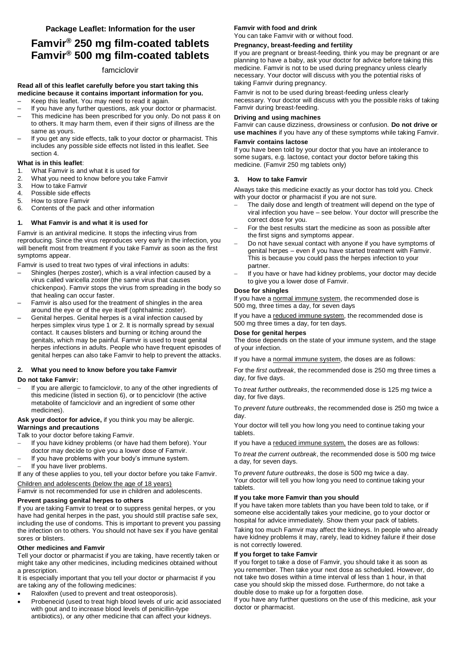# **Famvir® 250 mg film-coated tablets Famvir® 500 mg film-coated tablets**

## famciclovir

## **Read all of this leaflet carefully before you start taking this medicine because it contains important information for you.**

- Keep this leaflet. You may need to read it again.
- If you have any further questions, ask your doctor or pharmacist.
- This medicine has been prescribed for you only. Do not pass it on to others. It may harm them, even if their signs of illness are the same as yours.
- If you get any side effects, talk to your doctor or pharmacist. This includes any possible side effects not listed in this leaflet. See section 4.

## **What is in this leaflet**:

- 1. What Famvir is and what it is used for
- 2. What you need to know before you take Famvir
- 3. How to take Famvir
- 4. Possible side effects
- 5. How to store Famvir
- 6. Contents of the pack and other information

## **1. What Famvir is and what it is used for**

Famvir is an antiviral medicine. It stops the infecting virus from reproducing. Since the virus reproduces very early in the infection, you will benefit most from treatment if you take Famvir as soon as the first symptoms appear.

Famvir is used to treat two types of viral infections in adults:

- Shingles (herpes zoster), which is a viral infection caused by a virus called varicella zoster (the same virus that causes chickenpox). Famvir stops the virus from spreading in the body so that healing can occur faster.
- Famvir is also used for the treatment of shingles in the area around the eye or of the eye itself (ophthalmic zoster).
- Genital herpes. Genital herpes is a viral infection caused by herpes simplex virus type 1 or 2. It is normally spread by sexual contact. It causes blisters and burning or itching around the genitals, which may be painful. Famvir is used to treat genital herpes infections in adults. People who have frequent episodes of genital herpes can also take Famvir to help to prevent the attacks.

## **2. What you need to know before you take Famvir**

#### **Do not take Famvir:**

 If you are allergic to famciclovir, to any of the other ingredients of this medicine (listed in section 6), or to penciclovir (the active metabolite of famciclovir and an ingredient of some other medicines).

## **Ask your doctor for advice,** if you think you may be allergic. **Warnings and precautions**

Talk to your doctor before taking Famvir.

- If you have kidney problems (or have had them before). Your doctor may decide to give you a lower dose of Famvir.
- If you have problems with your body's immune system.
- If you have liver problems.

If any of these applies to you, tell your doctor before you take Famvir. Children and adolescents (below the age of 18 years)

Famvir is not recommended for use in children and adolescents.

## **Prevent passing genital herpes to others**

If you are taking Famvir to treat or to suppress genital herpes, or you have had genital herpes in the past, you should still practise safe sex, including the use of condoms. This is important to prevent you passing the infection on to others. You should not have sex if you have genital sores or blisters.

#### **Other medicines and Famvir**

Tell your doctor or pharmacist if you are taking, have recently taken or might take any other medicines, including medicines obtained without a prescription.

It is especially important that you tell your doctor or pharmacist if you are taking any of the following medicines:

- Raloxifen (used to prevent and treat osteoporosis).
- Probenecid (used to treat high blood levels of uric acid associated with gout and to increase blood levels of penicillin-type antibiotics), or any other medicine that can affect your kidneys.

## **Famvir with food and drink**

You can take Famvir with or without food.

## **Pregnancy, breast-feeding and fertility**

If you are pregnant or breast-feeding, think you may be pregnant or are planning to have a baby, ask your doctor for advice before taking this medicine. Famvir is not to be used during pregnancy unless clearly necessary. Your doctor will discuss with you the potential risks of taking Famvir during pregnancy.

Famvir is not to be used during breast-feeding unless clearly necessary. Your doctor will discuss with you the possible risks of taking Famvir during breast-feeding.

## **Driving and using machines**

Famvir can cause dizziness, drowsiness or confusion. **Do not drive or use machines** if you have any of these symptoms while taking Famvir.

#### **Famvir contains lactose**

If you have been told by your doctor that you have an intolerance to some sugars, e.g. lactose, contact your doctor before taking this medicine. (Famvir 250 mg tablets only)

## **3. How to take Famvir**

Always take this medicine exactly as your doctor has told you. Check with your doctor or pharmacist if you are not sure.

- The daily dose and length of treatment will depend on the type of viral infection you have – see below. Your doctor will prescribe the correct dose for you.
- For the best results start the medicine as soon as possible after the first signs and symptoms appear.
- Do not have sexual contact with anyone if you have symptoms of genital herpes – even if you have started treatment with Famvir. This is because you could pass the herpes infection to your partner.
- If you have or have had kidney problems, your doctor may decide to give you a lower dose of Famvir.

### **Dose for shingles**

If you have a normal immune system, the recommended dose is 500 mg, three times a day, for seven days

If you have a reduced immune system, the recommended dose is 500 mg three times a day, for ten days.

## **Dose for genital herpes**

The dose depends on the state of your immune system, and the stage of your infection.

If you have a normal immune system, the doses are as follows:

For the *first outbreak*, the recommended dose is 250 mg three times a day, for five days.

To *treat further outbreaks*, the recommended dose is 125 mg twice a day, for five days.

To *prevent future outbreaks*, the recommended dose is 250 mg twice a day.

Your doctor will tell you how long you need to continue taking your tablets.

If you have a reduced immune system, the doses are as follows:

To *treat the current outbreak*, the recommended dose is 500 mg twice a day, for seven days.

To *prevent future outbreaks*, the dose is 500 mg twice a day. Your doctor will tell you how long you need to continue taking your tablets.

## **If you take more Famvir than you should**

If you have taken more tablets than you have been told to take, or if someone else accidentally takes your medicine, go to your doctor or hospital for advice immediately. Show them your pack of tablets.

Taking too much Famvir may affect the kidneys. In people who already have kidney problems it may, rarely, lead to kidney failure if their dose is not correctly lowered.

## **If you forget to take Famvir**

If you forget to take a dose of Famvir, you should take it as soon as you remember. Then take your next dose as scheduled. However, do not take two doses within a time interval of less than 1 hour, in that case you should skip the missed dose. Furthermore, do not take a double dose to make up for a forgotten dose.

If you have any further questions on the use of this medicine, ask your doctor or pharmacist.